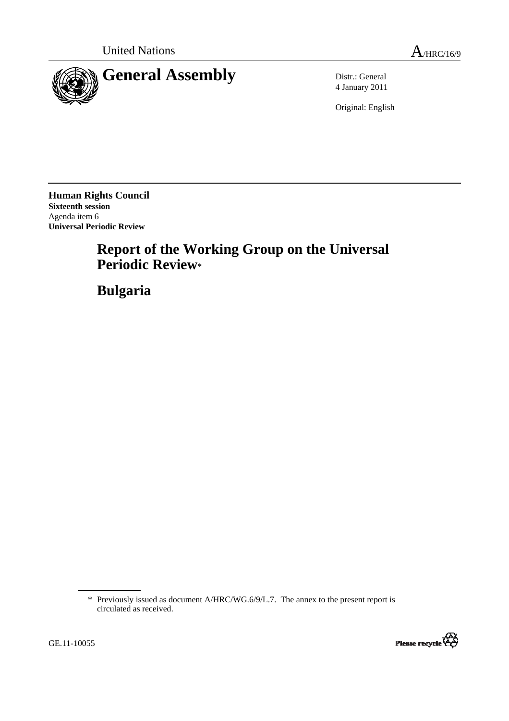



4 January 2011

Original: English

**Human Rights Council Sixteenth session**  Agenda item 6 **Universal Periodic Review** 

# **Report of the Working Group on the Universal Periodic Review**\*

 **Bulgaria** 

<sup>\*</sup> Previously issued as document A/HRC/WG.6/9/L.7. The annex to the present report is circulated as received.

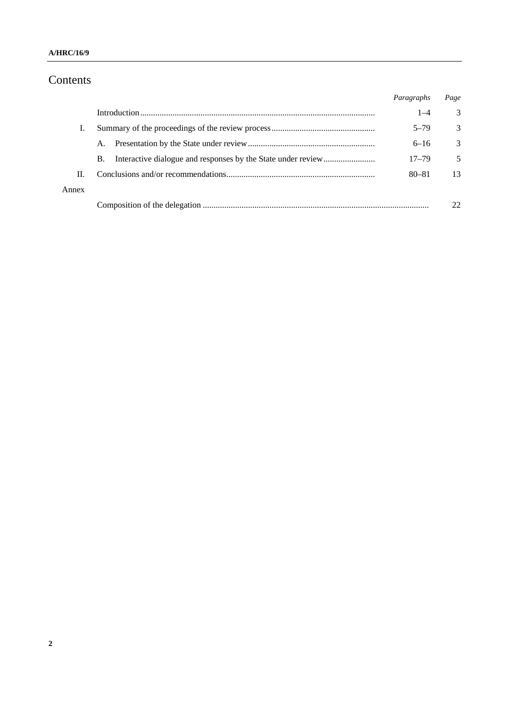# Contents

|       |    | Paragraphs | Page          |
|-------|----|------------|---------------|
|       |    | $1 - 4$    | 3             |
| T.    |    | $5 - 79$   | 3             |
|       | A. | $6 - 16$   | $\mathcal{E}$ |
|       | B. | $17 - 79$  | 5             |
| П.    |    | $80 - 81$  | 13            |
| Annex |    |            |               |
|       |    |            |               |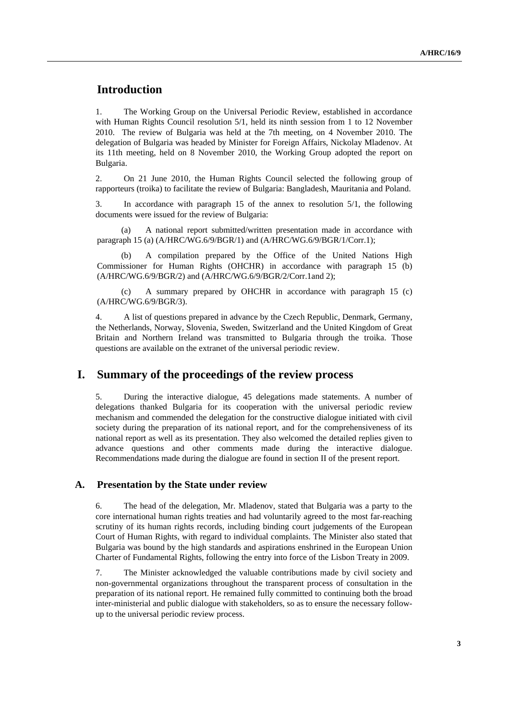# **Introduction**

1. The Working Group on the Universal Periodic Review, established in accordance with Human Rights Council resolution 5/1, held its ninth session from 1 to 12 November 2010. The review of Bulgaria was held at the 7th meeting, on 4 November 2010. The delegation of Bulgaria was headed by Minister for Foreign Affairs, Nickolay Mladenov. At its 11th meeting, held on 8 November 2010, the Working Group adopted the report on Bulgaria.

2. On 21 June 2010, the Human Rights Council selected the following group of rapporteurs (troika) to facilitate the review of Bulgaria: Bangladesh, Mauritania and Poland.

In accordance with paragraph 15 of the annex to resolution  $5/1$ , the following documents were issued for the review of Bulgaria:

A national report submitted/written presentation made in accordance with paragraph 15 (a) (A/HRC/WG.6/9/BGR/1) and (A/HRC/WG.6/9/BGR/1/Corr.1);

 (b) A compilation prepared by the Office of the United Nations High Commissioner for Human Rights (OHCHR) in accordance with paragraph 15 (b) (A/HRC/WG.6/9/BGR/2) and (A/HRC/WG.6/9/BGR/2/Corr.1and 2);

 (c) A summary prepared by OHCHR in accordance with paragraph 15 (c) (A/HRC/WG.6/9/BGR/3).

4. A list of questions prepared in advance by the Czech Republic, Denmark, Germany, the Netherlands, Norway, Slovenia, Sweden, Switzerland and the United Kingdom of Great Britain and Northern Ireland was transmitted to Bulgaria through the troika. Those questions are available on the extranet of the universal periodic review.

## **I. Summary of the proceedings of the review process**

5. During the interactive dialogue, 45 delegations made statements. A number of delegations thanked Bulgaria for its cooperation with the universal periodic review mechanism and commended the delegation for the constructive dialogue initiated with civil society during the preparation of its national report, and for the comprehensiveness of its national report as well as its presentation. They also welcomed the detailed replies given to advance questions and other comments made during the interactive dialogue. Recommendations made during the dialogue are found in section II of the present report.

#### **A. Presentation by the State under review**

6. The head of the delegation, Mr. Mladenov, stated that Bulgaria was a party to the core international human rights treaties and had voluntarily agreed to the most far-reaching scrutiny of its human rights records, including binding court judgements of the European Court of Human Rights, with regard to individual complaints. The Minister also stated that Bulgaria was bound by the high standards and aspirations enshrined in the European Union Charter of Fundamental Rights, following the entry into force of the Lisbon Treaty in 2009.

7. The Minister acknowledged the valuable contributions made by civil society and non-governmental organizations throughout the transparent process of consultation in the preparation of its national report. He remained fully committed to continuing both the broad inter-ministerial and public dialogue with stakeholders, so as to ensure the necessary followup to the universal periodic review process.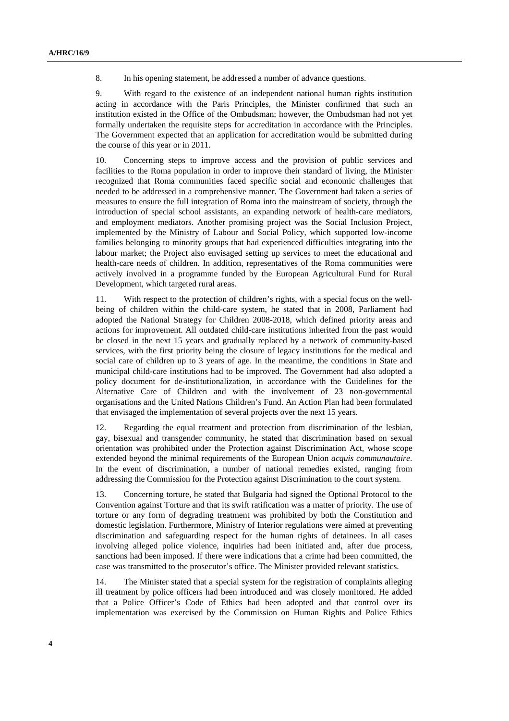8. In his opening statement, he addressed a number of advance questions.

9. With regard to the existence of an independent national human rights institution acting in accordance with the Paris Principles, the Minister confirmed that such an institution existed in the Office of the Ombudsman; however, the Ombudsman had not yet formally undertaken the requisite steps for accreditation in accordance with the Principles. The Government expected that an application for accreditation would be submitted during the course of this year or in 2011.

10. Concerning steps to improve access and the provision of public services and facilities to the Roma population in order to improve their standard of living, the Minister recognized that Roma communities faced specific social and economic challenges that needed to be addressed in a comprehensive manner. The Government had taken a series of measures to ensure the full integration of Roma into the mainstream of society, through the introduction of special school assistants, an expanding network of health-care mediators, and employment mediators. Another promising project was the Social Inclusion Project, implemented by the Ministry of Labour and Social Policy, which supported low-income families belonging to minority groups that had experienced difficulties integrating into the labour market; the Project also envisaged setting up services to meet the educational and health-care needs of children. In addition, representatives of the Roma communities were actively involved in a programme funded by the European Agricultural Fund for Rural Development, which targeted rural areas.

11. With respect to the protection of children's rights, with a special focus on the wellbeing of children within the child-care system, he stated that in 2008, Parliament had adopted the National Strategy for Children 2008-2018, which defined priority areas and actions for improvement. All outdated child-care institutions inherited from the past would be closed in the next 15 years and gradually replaced by a network of community-based services, with the first priority being the closure of legacy institutions for the medical and social care of children up to 3 years of age. In the meantime, the conditions in State and municipal child-care institutions had to be improved. The Government had also adopted a policy document for de-institutionalization, in accordance with the Guidelines for the Alternative Care of Children and with the involvement of 23 non-governmental organisations and the United Nations Children's Fund. An Action Plan had been formulated that envisaged the implementation of several projects over the next 15 years.

12. Regarding the equal treatment and protection from discrimination of the lesbian, gay, bisexual and transgender community, he stated that discrimination based on sexual orientation was prohibited under the Protection against Discrimination Act, whose scope extended beyond the minimal requirements of the European Union *acquis communautaire*. In the event of discrimination, a number of national remedies existed, ranging from addressing the Commission for the Protection against Discrimination to the court system.

13. Concerning torture, he stated that Bulgaria had signed the Optional Protocol to the Convention against Torture and that its swift ratification was a matter of priority. The use of torture or any form of degrading treatment was prohibited by both the Constitution and domestic legislation. Furthermore, Ministry of Interior regulations were aimed at preventing discrimination and safeguarding respect for the human rights of detainees. In all cases involving alleged police violence, inquiries had been initiated and, after due process, sanctions had been imposed. If there were indications that a crime had been committed, the case was transmitted to the prosecutor's office. The Minister provided relevant statistics.

14. The Minister stated that a special system for the registration of complaints alleging ill treatment by police officers had been introduced and was closely monitored. He added that a Police Officer's Code of Ethics had been adopted and that control over its implementation was exercised by the Commission on Human Rights and Police Ethics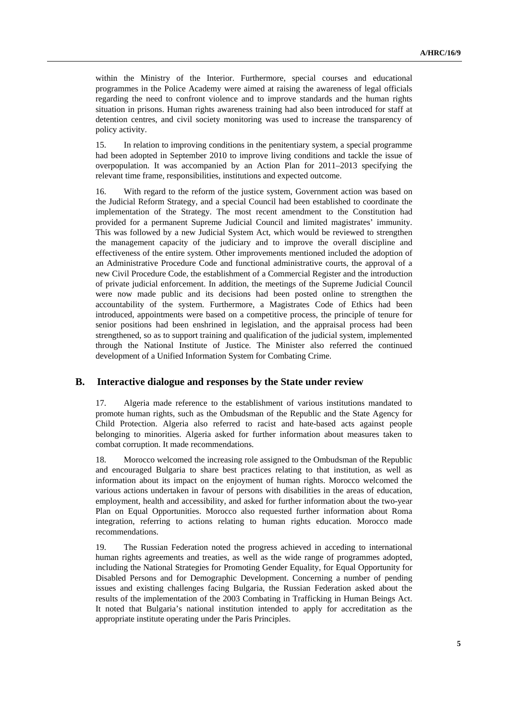within the Ministry of the Interior. Furthermore, special courses and educational programmes in the Police Academy were aimed at raising the awareness of legal officials regarding the need to confront violence and to improve standards and the human rights situation in prisons. Human rights awareness training had also been introduced for staff at detention centres, and civil society monitoring was used to increase the transparency of policy activity.

15. In relation to improving conditions in the penitentiary system, a special programme had been adopted in September 2010 to improve living conditions and tackle the issue of overpopulation. It was accompanied by an Action Plan for 2011–2013 specifying the relevant time frame, responsibilities, institutions and expected outcome.

16. With regard to the reform of the justice system, Government action was based on the Judicial Reform Strategy, and a special Council had been established to coordinate the implementation of the Strategy. The most recent amendment to the Constitution had provided for a permanent Supreme Judicial Council and limited magistrates' immunity. This was followed by a new Judicial System Act, which would be reviewed to strengthen the management capacity of the judiciary and to improve the overall discipline and effectiveness of the entire system. Other improvements mentioned included the adoption of an Administrative Procedure Code and functional administrative courts, the approval of a new Civil Procedure Code, the establishment of a Commercial Register and the introduction of private judicial enforcement. In addition, the meetings of the Supreme Judicial Council were now made public and its decisions had been posted online to strengthen the accountability of the system. Furthermore, a Magistrates Code of Ethics had been introduced, appointments were based on a competitive process, the principle of tenure for senior positions had been enshrined in legislation, and the appraisal process had been strengthened, so as to support training and qualification of the judicial system, implemented through the National Institute of Justice. The Minister also referred the continued development of a Unified Information System for Combating Crime.

#### **B. Interactive dialogue and responses by the State under review**

17. Algeria made reference to the establishment of various institutions mandated to promote human rights, such as the Ombudsman of the Republic and the State Agency for Child Protection. Algeria also referred to racist and hate-based acts against people belonging to minorities. Algeria asked for further information about measures taken to combat corruption. It made recommendations.

18. Morocco welcomed the increasing role assigned to the Ombudsman of the Republic and encouraged Bulgaria to share best practices relating to that institution, as well as information about its impact on the enjoyment of human rights. Morocco welcomed the various actions undertaken in favour of persons with disabilities in the areas of education, employment, health and accessibility, and asked for further information about the two-year Plan on Equal Opportunities. Morocco also requested further information about Roma integration, referring to actions relating to human rights education. Morocco made recommendations.

19. The Russian Federation noted the progress achieved in acceding to international human rights agreements and treaties, as well as the wide range of programmes adopted, including the National Strategies for Promoting Gender Equality, for Equal Opportunity for Disabled Persons and for Demographic Development. Concerning a number of pending issues and existing challenges facing Bulgaria, the Russian Federation asked about the results of the implementation of the 2003 Combating in Trafficking in Human Beings Act. It noted that Bulgaria's national institution intended to apply for accreditation as the appropriate institute operating under the Paris Principles.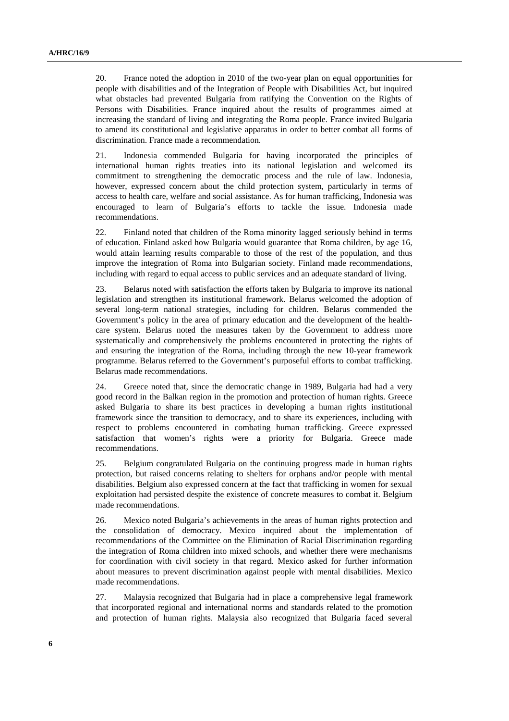20. France noted the adoption in 2010 of the two-year plan on equal opportunities for people with disabilities and of the Integration of People with Disabilities Act, but inquired what obstacles had prevented Bulgaria from ratifying the Convention on the Rights of Persons with Disabilities. France inquired about the results of programmes aimed at increasing the standard of living and integrating the Roma people. France invited Bulgaria to amend its constitutional and legislative apparatus in order to better combat all forms of discrimination. France made a recommendation.

21. Indonesia commended Bulgaria for having incorporated the principles of international human rights treaties into its national legislation and welcomed its commitment to strengthening the democratic process and the rule of law. Indonesia, however, expressed concern about the child protection system, particularly in terms of access to health care, welfare and social assistance. As for human trafficking, Indonesia was encouraged to learn of Bulgaria's efforts to tackle the issue. Indonesia made recommendations.

22. Finland noted that children of the Roma minority lagged seriously behind in terms of education. Finland asked how Bulgaria would guarantee that Roma children, by age 16, would attain learning results comparable to those of the rest of the population, and thus improve the integration of Roma into Bulgarian society. Finland made recommendations, including with regard to equal access to public services and an adequate standard of living.

23. Belarus noted with satisfaction the efforts taken by Bulgaria to improve its national legislation and strengthen its institutional framework. Belarus welcomed the adoption of several long-term national strategies, including for children. Belarus commended the Government's policy in the area of primary education and the development of the healthcare system. Belarus noted the measures taken by the Government to address more systematically and comprehensively the problems encountered in protecting the rights of and ensuring the integration of the Roma, including through the new 10-year framework programme. Belarus referred to the Government's purposeful efforts to combat trafficking. Belarus made recommendations.

24. Greece noted that, since the democratic change in 1989, Bulgaria had had a very good record in the Balkan region in the promotion and protection of human rights. Greece asked Bulgaria to share its best practices in developing a human rights institutional framework since the transition to democracy, and to share its experiences, including with respect to problems encountered in combating human trafficking. Greece expressed satisfaction that women's rights were a priority for Bulgaria. Greece made recommendations.

25. Belgium congratulated Bulgaria on the continuing progress made in human rights protection, but raised concerns relating to shelters for orphans and/or people with mental disabilities. Belgium also expressed concern at the fact that trafficking in women for sexual exploitation had persisted despite the existence of concrete measures to combat it. Belgium made recommendations.

26. Mexico noted Bulgaria's achievements in the areas of human rights protection and the consolidation of democracy. Mexico inquired about the implementation of recommendations of the Committee on the Elimination of Racial Discrimination regarding the integration of Roma children into mixed schools, and whether there were mechanisms for coordination with civil society in that regard. Mexico asked for further information about measures to prevent discrimination against people with mental disabilities. Mexico made recommendations.

27. Malaysia recognized that Bulgaria had in place a comprehensive legal framework that incorporated regional and international norms and standards related to the promotion and protection of human rights. Malaysia also recognized that Bulgaria faced several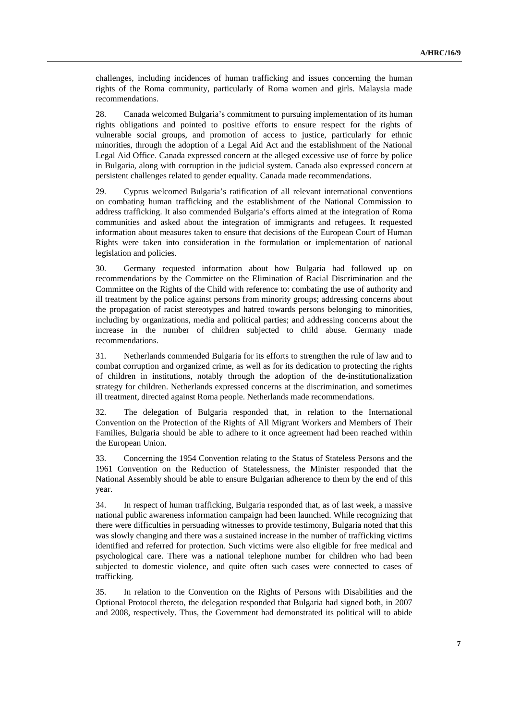challenges, including incidences of human trafficking and issues concerning the human rights of the Roma community, particularly of Roma women and girls. Malaysia made recommendations.

28. Canada welcomed Bulgaria's commitment to pursuing implementation of its human rights obligations and pointed to positive efforts to ensure respect for the rights of vulnerable social groups, and promotion of access to justice, particularly for ethnic minorities, through the adoption of a Legal Aid Act and the establishment of the National Legal Aid Office. Canada expressed concern at the alleged excessive use of force by police in Bulgaria, along with corruption in the judicial system. Canada also expressed concern at persistent challenges related to gender equality. Canada made recommendations.

29. Cyprus welcomed Bulgaria's ratification of all relevant international conventions on combating human trafficking and the establishment of the National Commission to address trafficking. It also commended Bulgaria's efforts aimed at the integration of Roma communities and asked about the integration of immigrants and refugees. It requested information about measures taken to ensure that decisions of the European Court of Human Rights were taken into consideration in the formulation or implementation of national legislation and policies.

30. Germany requested information about how Bulgaria had followed up on recommendations by the Committee on the Elimination of Racial Discrimination and the Committee on the Rights of the Child with reference to: combating the use of authority and ill treatment by the police against persons from minority groups; addressing concerns about the propagation of racist stereotypes and hatred towards persons belonging to minorities, including by organizations, media and political parties; and addressing concerns about the increase in the number of children subjected to child abuse. Germany made recommendations.

31. Netherlands commended Bulgaria for its efforts to strengthen the rule of law and to combat corruption and organized crime, as well as for its dedication to protecting the rights of children in institutions, notably through the adoption of the de-institutionalization strategy for children. Netherlands expressed concerns at the discrimination, and sometimes ill treatment, directed against Roma people. Netherlands made recommendations.

32. The delegation of Bulgaria responded that, in relation to the International Convention on the Protection of the Rights of All Migrant Workers and Members of Their Families, Bulgaria should be able to adhere to it once agreement had been reached within the European Union.

33. Concerning the 1954 Convention relating to the Status of Stateless Persons and the 1961 Convention on the Reduction of Statelessness, the Minister responded that the National Assembly should be able to ensure Bulgarian adherence to them by the end of this year.

34. In respect of human trafficking, Bulgaria responded that, as of last week, a massive national public awareness information campaign had been launched. While recognizing that there were difficulties in persuading witnesses to provide testimony, Bulgaria noted that this was slowly changing and there was a sustained increase in the number of trafficking victims identified and referred for protection. Such victims were also eligible for free medical and psychological care. There was a national telephone number for children who had been subjected to domestic violence, and quite often such cases were connected to cases of trafficking.

35. In relation to the Convention on the Rights of Persons with Disabilities and the Optional Protocol thereto, the delegation responded that Bulgaria had signed both, in 2007 and 2008, respectively. Thus, the Government had demonstrated its political will to abide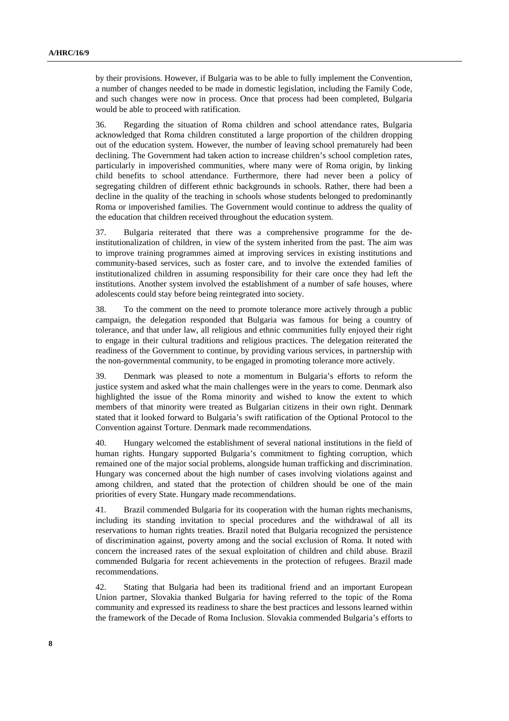by their provisions. However, if Bulgaria was to be able to fully implement the Convention, a number of changes needed to be made in domestic legislation, including the Family Code, and such changes were now in process. Once that process had been completed, Bulgaria would be able to proceed with ratification.

36. Regarding the situation of Roma children and school attendance rates, Bulgaria acknowledged that Roma children constituted a large proportion of the children dropping out of the education system. However, the number of leaving school prematurely had been declining. The Government had taken action to increase children's school completion rates, particularly in impoverished communities, where many were of Roma origin, by linking child benefits to school attendance. Furthermore, there had never been a policy of segregating children of different ethnic backgrounds in schools. Rather, there had been a decline in the quality of the teaching in schools whose students belonged to predominantly Roma or impoverished families. The Government would continue to address the quality of the education that children received throughout the education system.

37. Bulgaria reiterated that there was a comprehensive programme for the deinstitutionalization of children, in view of the system inherited from the past. The aim was to improve training programmes aimed at improving services in existing institutions and community-based services, such as foster care, and to involve the extended families of institutionalized children in assuming responsibility for their care once they had left the institutions. Another system involved the establishment of a number of safe houses, where adolescents could stay before being reintegrated into society.

38. To the comment on the need to promote tolerance more actively through a public campaign, the delegation responded that Bulgaria was famous for being a country of tolerance, and that under law, all religious and ethnic communities fully enjoyed their right to engage in their cultural traditions and religious practices. The delegation reiterated the readiness of the Government to continue, by providing various services, in partnership with the non-governmental community, to be engaged in promoting tolerance more actively.

39. Denmark was pleased to note a momentum in Bulgaria's efforts to reform the justice system and asked what the main challenges were in the years to come. Denmark also highlighted the issue of the Roma minority and wished to know the extent to which members of that minority were treated as Bulgarian citizens in their own right. Denmark stated that it looked forward to Bulgaria's swift ratification of the Optional Protocol to the Convention against Torture. Denmark made recommendations.

40. Hungary welcomed the establishment of several national institutions in the field of human rights. Hungary supported Bulgaria's commitment to fighting corruption, which remained one of the major social problems, alongside human trafficking and discrimination. Hungary was concerned about the high number of cases involving violations against and among children, and stated that the protection of children should be one of the main priorities of every State. Hungary made recommendations.

41. Brazil commended Bulgaria for its cooperation with the human rights mechanisms, including its standing invitation to special procedures and the withdrawal of all its reservations to human rights treaties. Brazil noted that Bulgaria recognized the persistence of discrimination against, poverty among and the social exclusion of Roma. It noted with concern the increased rates of the sexual exploitation of children and child abuse. Brazil commended Bulgaria for recent achievements in the protection of refugees. Brazil made recommendations.

42. Stating that Bulgaria had been its traditional friend and an important European Union partner, Slovakia thanked Bulgaria for having referred to the topic of the Roma community and expressed its readiness to share the best practices and lessons learned within the framework of the Decade of Roma Inclusion. Slovakia commended Bulgaria's efforts to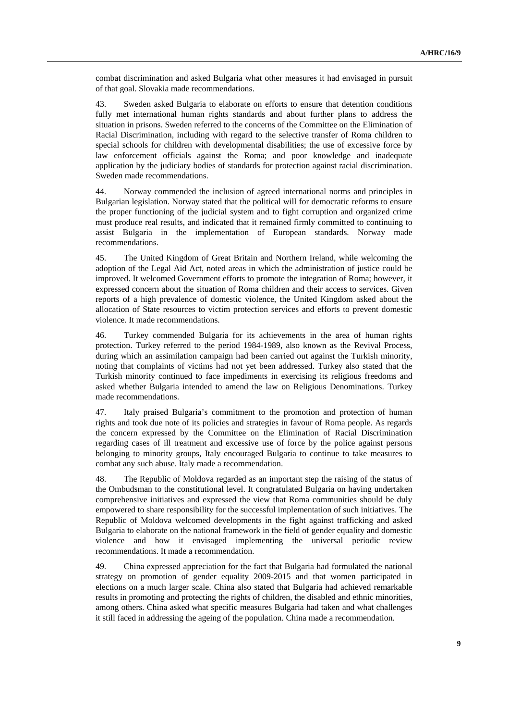combat discrimination and asked Bulgaria what other measures it had envisaged in pursuit of that goal. Slovakia made recommendations.

43. Sweden asked Bulgaria to elaborate on efforts to ensure that detention conditions fully met international human rights standards and about further plans to address the situation in prisons. Sweden referred to the concerns of the Committee on the Elimination of Racial Discrimination, including with regard to the selective transfer of Roma children to special schools for children with developmental disabilities; the use of excessive force by law enforcement officials against the Roma; and poor knowledge and inadequate application by the judiciary bodies of standards for protection against racial discrimination. Sweden made recommendations.

44. Norway commended the inclusion of agreed international norms and principles in Bulgarian legislation. Norway stated that the political will for democratic reforms to ensure the proper functioning of the judicial system and to fight corruption and organized crime must produce real results, and indicated that it remained firmly committed to continuing to assist Bulgaria in the implementation of European standards. Norway made recommendations.

45. The United Kingdom of Great Britain and Northern Ireland, while welcoming the adoption of the Legal Aid Act, noted areas in which the administration of justice could be improved. It welcomed Government efforts to promote the integration of Roma; however, it expressed concern about the situation of Roma children and their access to services. Given reports of a high prevalence of domestic violence, the United Kingdom asked about the allocation of State resources to victim protection services and efforts to prevent domestic violence. It made recommendations.

46. Turkey commended Bulgaria for its achievements in the area of human rights protection. Turkey referred to the period 1984-1989, also known as the Revival Process, during which an assimilation campaign had been carried out against the Turkish minority, noting that complaints of victims had not yet been addressed. Turkey also stated that the Turkish minority continued to face impediments in exercising its religious freedoms and asked whether Bulgaria intended to amend the law on Religious Denominations. Turkey made recommendations.

47. Italy praised Bulgaria's commitment to the promotion and protection of human rights and took due note of its policies and strategies in favour of Roma people. As regards the concern expressed by the Committee on the Elimination of Racial Discrimination regarding cases of ill treatment and excessive use of force by the police against persons belonging to minority groups, Italy encouraged Bulgaria to continue to take measures to combat any such abuse. Italy made a recommendation.

48. The Republic of Moldova regarded as an important step the raising of the status of the Ombudsman to the constitutional level. It congratulated Bulgaria on having undertaken comprehensive initiatives and expressed the view that Roma communities should be duly empowered to share responsibility for the successful implementation of such initiatives. The Republic of Moldova welcomed developments in the fight against trafficking and asked Bulgaria to elaborate on the national framework in the field of gender equality and domestic violence and how it envisaged implementing the universal periodic review recommendations. It made a recommendation.

49. China expressed appreciation for the fact that Bulgaria had formulated the national strategy on promotion of gender equality 2009-2015 and that women participated in elections on a much larger scale. China also stated that Bulgaria had achieved remarkable results in promoting and protecting the rights of children, the disabled and ethnic minorities, among others. China asked what specific measures Bulgaria had taken and what challenges it still faced in addressing the ageing of the population. China made a recommendation.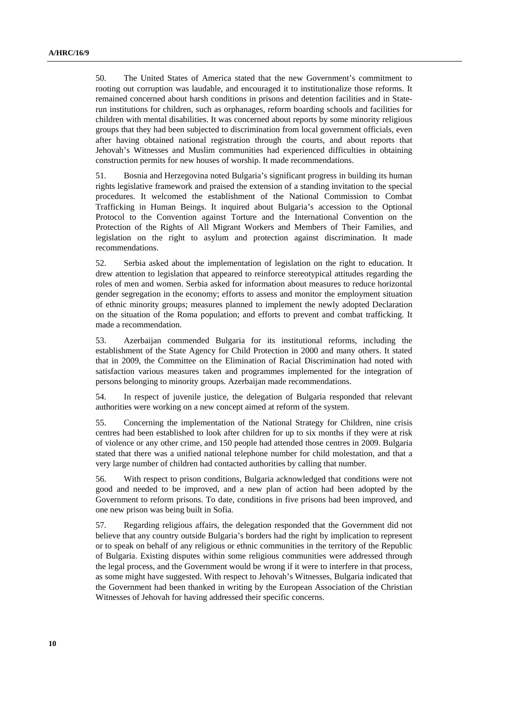50. The United States of America stated that the new Government's commitment to rooting out corruption was laudable, and encouraged it to institutionalize those reforms. It remained concerned about harsh conditions in prisons and detention facilities and in Staterun institutions for children, such as orphanages, reform boarding schools and facilities for children with mental disabilities. It was concerned about reports by some minority religious groups that they had been subjected to discrimination from local government officials, even after having obtained national registration through the courts, and about reports that Jehovah's Witnesses and Muslim communities had experienced difficulties in obtaining construction permits for new houses of worship. It made recommendations.

51. Bosnia and Herzegovina noted Bulgaria's significant progress in building its human rights legislative framework and praised the extension of a standing invitation to the special procedures. It welcomed the establishment of the National Commission to Combat Trafficking in Human Beings. It inquired about Bulgaria's accession to the Optional Protocol to the Convention against Torture and the International Convention on the Protection of the Rights of All Migrant Workers and Members of Their Families, and legislation on the right to asylum and protection against discrimination. It made recommendations.

52. Serbia asked about the implementation of legislation on the right to education. It drew attention to legislation that appeared to reinforce stereotypical attitudes regarding the roles of men and women. Serbia asked for information about measures to reduce horizontal gender segregation in the economy; efforts to assess and monitor the employment situation of ethnic minority groups; measures planned to implement the newly adopted Declaration on the situation of the Roma population; and efforts to prevent and combat trafficking. It made a recommendation.

53. Azerbaijan commended Bulgaria for its institutional reforms, including the establishment of the State Agency for Child Protection in 2000 and many others. It stated that in 2009, the Committee on the Elimination of Racial Discrimination had noted with satisfaction various measures taken and programmes implemented for the integration of persons belonging to minority groups. Azerbaijan made recommendations.

54. In respect of juvenile justice, the delegation of Bulgaria responded that relevant authorities were working on a new concept aimed at reform of the system.

55. Concerning the implementation of the National Strategy for Children, nine crisis centres had been established to look after children for up to six months if they were at risk of violence or any other crime, and 150 people had attended those centres in 2009. Bulgaria stated that there was a unified national telephone number for child molestation, and that a very large number of children had contacted authorities by calling that number.

56. With respect to prison conditions, Bulgaria acknowledged that conditions were not good and needed to be improved, and a new plan of action had been adopted by the Government to reform prisons. To date, conditions in five prisons had been improved, and one new prison was being built in Sofia.

57. Regarding religious affairs, the delegation responded that the Government did not believe that any country outside Bulgaria's borders had the right by implication to represent or to speak on behalf of any religious or ethnic communities in the territory of the Republic of Bulgaria. Existing disputes within some religious communities were addressed through the legal process, and the Government would be wrong if it were to interfere in that process, as some might have suggested. With respect to Jehovah's Witnesses, Bulgaria indicated that the Government had been thanked in writing by the European Association of the Christian Witnesses of Jehovah for having addressed their specific concerns.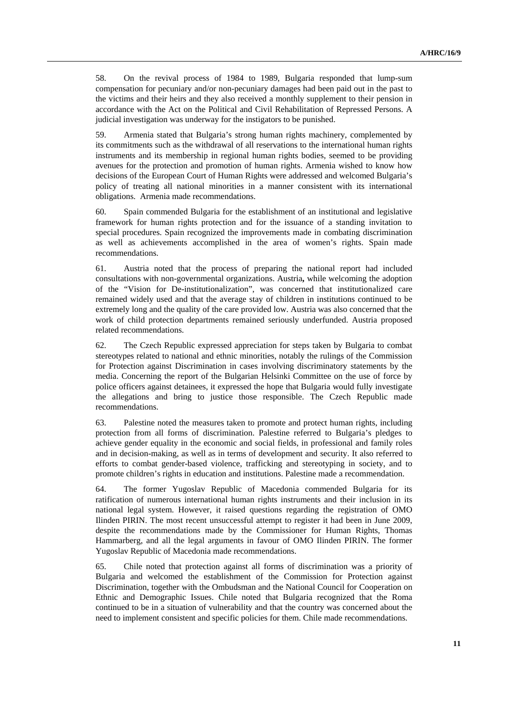58. On the revival process of 1984 to 1989, Bulgaria responded that lump-sum compensation for pecuniary and/or non-pecuniary damages had been paid out in the past to the victims and their heirs and they also received a monthly supplement to their pension in accordance with the Act on the Political and Civil Rehabilitation of Repressed Persons. A judicial investigation was underway for the instigators to be punished.

59. Armenia stated that Bulgaria's strong human rights machinery, complemented by its commitments such as the withdrawal of all reservations to the international human rights instruments and its membership in regional human rights bodies, seemed to be providing avenues for the protection and promotion of human rights. Armenia wished to know how decisions of the European Court of Human Rights were addressed and welcomed Bulgaria's policy of treating all national minorities in a manner consistent with its international obligations. Armenia made recommendations.

60. Spain commended Bulgaria for the establishment of an institutional and legislative framework for human rights protection and for the issuance of a standing invitation to special procedures. Spain recognized the improvements made in combating discrimination as well as achievements accomplished in the area of women's rights. Spain made recommendations.

61. Austria noted that the process of preparing the national report had included consultations with non-governmental organizations. Austria**,** while welcoming the adoption of the "Vision for De-institutionalization", was concerned that institutionalized care remained widely used and that the average stay of children in institutions continued to be extremely long and the quality of the care provided low. Austria was also concerned that the work of child protection departments remained seriously underfunded. Austria proposed related recommendations.

62. The Czech Republic expressed appreciation for steps taken by Bulgaria to combat stereotypes related to national and ethnic minorities, notably the rulings of the Commission for Protection against Discrimination in cases involving discriminatory statements by the media. Concerning the report of the Bulgarian Helsinki Committee on the use of force by police officers against detainees, it expressed the hope that Bulgaria would fully investigate the allegations and bring to justice those responsible. The Czech Republic made recommendations.

63. Palestine noted the measures taken to promote and protect human rights, including protection from all forms of discrimination. Palestine referred to Bulgaria's pledges to achieve gender equality in the economic and social fields, in professional and family roles and in decision-making, as well as in terms of development and security. It also referred to efforts to combat gender-based violence, trafficking and stereotyping in society, and to promote children's rights in education and institutions. Palestine made a recommendation.

64. The former Yugoslav Republic of Macedonia commended Bulgaria for its ratification of numerous international human rights instruments and their inclusion in its national legal system. However, it raised questions regarding the registration of OMO Ilinden PIRIN. The most recent unsuccessful attempt to register it had been in June 2009, despite the recommendations made by the Commissioner for Human Rights, Thomas Hammarberg, and all the legal arguments in favour of OMO Ilinden PIRIN. The former Yugoslav Republic of Macedonia made recommendations.

65. Chile noted that protection against all forms of discrimination was a priority of Bulgaria and welcomed the establishment of the Commission for Protection against Discrimination, together with the Ombudsman and the National Council for Cooperation on Ethnic and Demographic Issues. Chile noted that Bulgaria recognized that the Roma continued to be in a situation of vulnerability and that the country was concerned about the need to implement consistent and specific policies for them. Chile made recommendations.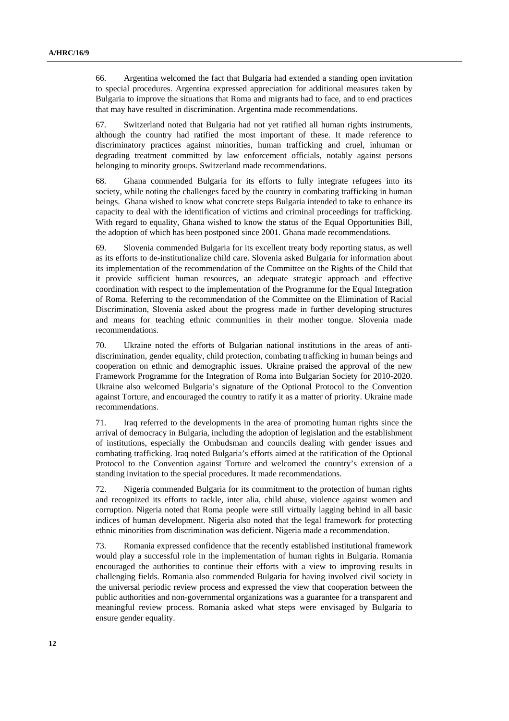66. Argentina welcomed the fact that Bulgaria had extended a standing open invitation to special procedures. Argentina expressed appreciation for additional measures taken by Bulgaria to improve the situations that Roma and migrants had to face, and to end practices that may have resulted in discrimination. Argentina made recommendations.

67. Switzerland noted that Bulgaria had not yet ratified all human rights instruments, although the country had ratified the most important of these. It made reference to discriminatory practices against minorities, human trafficking and cruel, inhuman or degrading treatment committed by law enforcement officials, notably against persons belonging to minority groups. Switzerland made recommendations.

68. Ghana commended Bulgaria for its efforts to fully integrate refugees into its society, while noting the challenges faced by the country in combating trafficking in human beings. Ghana wished to know what concrete steps Bulgaria intended to take to enhance its capacity to deal with the identification of victims and criminal proceedings for trafficking. With regard to equality, Ghana wished to know the status of the Equal Opportunities Bill, the adoption of which has been postponed since 2001. Ghana made recommendations.

69. Slovenia commended Bulgaria for its excellent treaty body reporting status, as well as its efforts to de-institutionalize child care. Slovenia asked Bulgaria for information about its implementation of the recommendation of the Committee on the Rights of the Child that it provide sufficient human resources, an adequate strategic approach and effective coordination with respect to the implementation of the Programme for the Equal Integration of Roma. Referring to the recommendation of the Committee on the Elimination of Racial Discrimination, Slovenia asked about the progress made in further developing structures and means for teaching ethnic communities in their mother tongue. Slovenia made recommendations.

70. Ukraine noted the efforts of Bulgarian national institutions in the areas of antidiscrimination, gender equality, child protection, combating trafficking in human beings and cooperation on ethnic and demographic issues. Ukraine praised the approval of the new Framework Programme for the Integration of Roma into Bulgarian Society for 2010-2020. Ukraine also welcomed Bulgaria's signature of the Optional Protocol to the Convention against Torture, and encouraged the country to ratify it as a matter of priority. Ukraine made recommendations.

71. Iraq referred to the developments in the area of promoting human rights since the arrival of democracy in Bulgaria, including the adoption of legislation and the establishment of institutions, especially the Ombudsman and councils dealing with gender issues and combating trafficking. Iraq noted Bulgaria's efforts aimed at the ratification of the Optional Protocol to the Convention against Torture and welcomed the country's extension of a standing invitation to the special procedures. It made recommendations.

72. Nigeria commended Bulgaria for its commitment to the protection of human rights and recognized its efforts to tackle, inter alia, child abuse, violence against women and corruption. Nigeria noted that Roma people were still virtually lagging behind in all basic indices of human development. Nigeria also noted that the legal framework for protecting ethnic minorities from discrimination was deficient. Nigeria made a recommendation.

73. Romania expressed confidence that the recently established institutional framework would play a successful role in the implementation of human rights in Bulgaria. Romania encouraged the authorities to continue their efforts with a view to improving results in challenging fields. Romania also commended Bulgaria for having involved civil society in the universal periodic review process and expressed the view that cooperation between the public authorities and non-governmental organizations was a guarantee for a transparent and meaningful review process. Romania asked what steps were envisaged by Bulgaria to ensure gender equality.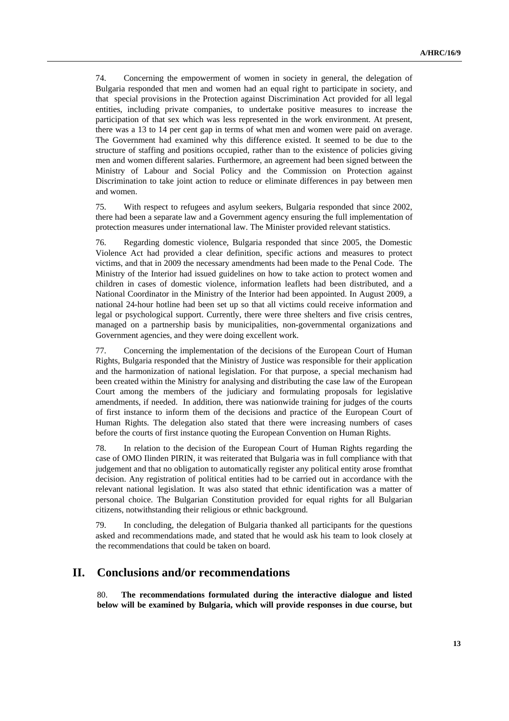74. Concerning the empowerment of women in society in general, the delegation of Bulgaria responded that men and women had an equal right to participate in society, and that special provisions in the Protection against Discrimination Act provided for all legal entities, including private companies, to undertake positive measures to increase the participation of that sex which was less represented in the work environment. At present, there was a 13 to 14 per cent gap in terms of what men and women were paid on average. The Government had examined why this difference existed. It seemed to be due to the structure of staffing and positions occupied, rather than to the existence of policies giving men and women different salaries. Furthermore, an agreement had been signed between the Ministry of Labour and Social Policy and the Commission on Protection against Discrimination to take joint action to reduce or eliminate differences in pay between men and women.

75. With respect to refugees and asylum seekers, Bulgaria responded that since 2002, there had been a separate law and a Government agency ensuring the full implementation of protection measures under international law. The Minister provided relevant statistics.

76. Regarding domestic violence, Bulgaria responded that since 2005, the Domestic Violence Act had provided a clear definition, specific actions and measures to protect victims, and that in 2009 the necessary amendments had been made to the Penal Code. The Ministry of the Interior had issued guidelines on how to take action to protect women and children in cases of domestic violence, information leaflets had been distributed, and a National Coordinator in the Ministry of the Interior had been appointed. In August 2009, a national 24-hour hotline had been set up so that all victims could receive information and legal or psychological support. Currently, there were three shelters and five crisis centres, managed on a partnership basis by municipalities, non-governmental organizations and Government agencies, and they were doing excellent work.

77. Concerning the implementation of the decisions of the European Court of Human Rights, Bulgaria responded that the Ministry of Justice was responsible for their application and the harmonization of national legislation. For that purpose, a special mechanism had been created within the Ministry for analysing and distributing the case law of the European Court among the members of the judiciary and formulating proposals for legislative amendments, if needed. In addition, there was nationwide training for judges of the courts of first instance to inform them of the decisions and practice of the European Court of Human Rights. The delegation also stated that there were increasing numbers of cases before the courts of first instance quoting the European Convention on Human Rights.

78. In relation to the decision of the European Court of Human Rights regarding the case of OMO Ilinden PIRIN, it was reiterated that Bulgaria was in full compliance with that judgement and that no obligation to automatically register any political entity arose fromthat decision. Any registration of political entities had to be carried out in accordance with the relevant national legislation. It was also stated that ethnic identification was a matter of personal choice. The Bulgarian Constitution provided for equal rights for all Bulgarian citizens, notwithstanding their religious or ethnic background.

79. In concluding, the delegation of Bulgaria thanked all participants for the questions asked and recommendations made, and stated that he would ask his team to look closely at the recommendations that could be taken on board.

### **II. Conclusions and/or recommendations**

80. **The recommendations formulated during the interactive dialogue and listed below will be examined by Bulgaria, which will provide responses in due course, but**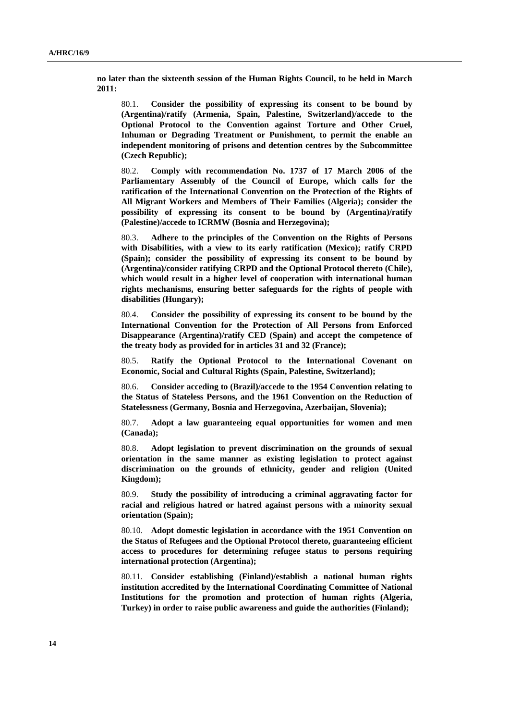**no later than the sixteenth session of the Human Rights Council, to be held in March 2011:**

80.1. **Consider the possibility of expressing its consent to be bound by (Argentina)/ratify (Armenia, Spain, Palestine, Switzerland)/accede to the Optional Protocol to the Convention against Torture and Other Cruel, Inhuman or Degrading Treatment or Punishment, to permit the enable an independent monitoring of prisons and detention centres by the Subcommittee (Czech Republic);** 

80.2. **Comply with recommendation No. 1737 of 17 March 2006 of the Parliamentary Assembly of the Council of Europe, which calls for the ratification of the International Convention on the Protection of the Rights of All Migrant Workers and Members of Their Families (Algeria); consider the possibility of expressing its consent to be bound by (Argentina)/ratify (Palestine)/accede to ICRMW (Bosnia and Herzegovina);** 

80.3. **Adhere to the principles of the Convention on the Rights of Persons with Disabilities, with a view to its early ratification (Mexico); ratify CRPD (Spain); consider the possibility of expressing its consent to be bound by (Argentina)/consider ratifying CRPD and the Optional Protocol thereto (Chile), which would result in a higher level of cooperation with international human rights mechanisms, ensuring better safeguards for the rights of people with disabilities (Hungary);** 

80.4. **Consider the possibility of expressing its consent to be bound by the International Convention for the Protection of All Persons from Enforced Disappearance (Argentina)/ratify CED (Spain) and accept the competence of the treaty body as provided for in articles 31 and 32 (France);** 

80.5. **Ratify the Optional Protocol to the International Covenant on Economic, Social and Cultural Rights (Spain, Palestine, Switzerland);** 

80.6. **Consider acceding to (Brazil)/accede to the 1954 Convention relating to the Status of Stateless Persons, and the 1961 Convention on the Reduction of Statelessness (Germany, Bosnia and Herzegovina, Azerbaijan, Slovenia);** 

80.7. **Adopt a law guaranteeing equal opportunities for women and men (Canada);** 

80.8. **Adopt legislation to prevent discrimination on the grounds of sexual orientation in the same manner as existing legislation to protect against discrimination on the grounds of ethnicity, gender and religion (United Kingdom);** 

80.9. **Study the possibility of introducing a criminal aggravating factor for racial and religious hatred or hatred against persons with a minority sexual orientation (Spain);** 

80.10. **Adopt domestic legislation in accordance with the 1951 Convention on the Status of Refugees and the Optional Protocol thereto, guaranteeing efficient access to procedures for determining refugee status to persons requiring international protection (Argentina);** 

80.11. **Consider establishing (Finland)/establish a national human rights institution accredited by the International Coordinating Committee of National Institutions for the promotion and protection of human rights (Algeria, Turkey) in order to raise public awareness and guide the authorities (Finland);**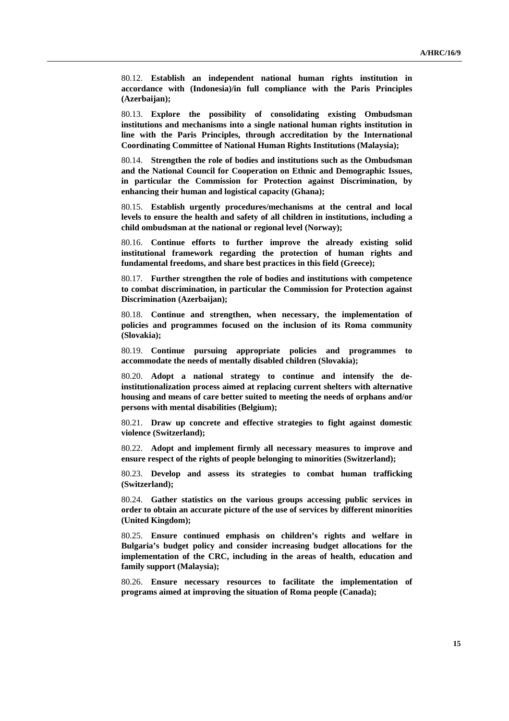80.12. **Establish an independent national human rights institution in accordance with (Indonesia)/in full compliance with the Paris Principles (Azerbaijan);** 

80.13. **Explore the possibility of consolidating existing Ombudsman institutions and mechanisms into a single national human rights institution in line with the Paris Principles, through accreditation by the International Coordinating Committee of National Human Rights Institutions (Malaysia);** 

80.14. **Strengthen the role of bodies and institutions such as the Ombudsman and the National Council for Cooperation on Ethnic and Demographic Issues, in particular the Commission for Protection against Discrimination, by enhancing their human and logistical capacity (Ghana);** 

80.15. **Establish urgently procedures/mechanisms at the central and local levels to ensure the health and safety of all children in institutions, including a child ombudsman at the national or regional level (Norway);** 

80.16. **Continue efforts to further improve the already existing solid institutional framework regarding the protection of human rights and fundamental freedoms, and share best practices in this field (Greece);** 

80.17. **Further strengthen the role of bodies and institutions with competence to combat discrimination, in particular the Commission for Protection against Discrimination (Azerbaijan);** 

80.18. **Continue and strengthen, when necessary, the implementation of policies and programmes focused on the inclusion of its Roma community (Slovakia);** 

80.19. **Continue pursuing appropriate policies and programmes to accommodate the needs of mentally disabled children (Slovakia);** 

80.20. **Adopt a national strategy to continue and intensify the deinstitutionalization process aimed at replacing current shelters with alternative housing and means of care better suited to meeting the needs of orphans and/or persons with mental disabilities (Belgium);** 

80.21. **Draw up concrete and effective strategies to fight against domestic violence (Switzerland);** 

80.22. **Adopt and implement firmly all necessary measures to improve and ensure respect of the rights of people belonging to minorities (Switzerland);** 

80.23. **Develop and assess its strategies to combat human trafficking (Switzerland);** 

80.24. **Gather statistics on the various groups accessing public services in order to obtain an accurate picture of the use of services by different minorities (United Kingdom);** 

80.25. **Ensure continued emphasis on children's rights and welfare in Bulgaria's budget policy and consider increasing budget allocations for the implementation of the CRC, including in the areas of health, education and family support (Malaysia);** 

80.26. **Ensure necessary resources to facilitate the implementation of programs aimed at improving the situation of Roma people (Canada);**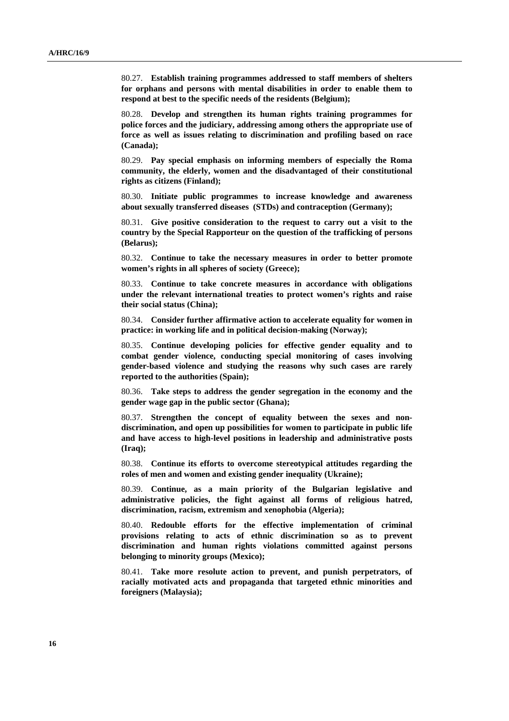80.27. **Establish training programmes addressed to staff members of shelters for orphans and persons with mental disabilities in order to enable them to respond at best to the specific needs of the residents (Belgium);** 

80.28. **Develop and strengthen its human rights training programmes for police forces and the judiciary, addressing among others the appropriate use of force as well as issues relating to discrimination and profiling based on race (Canada);** 

80.29. **Pay special emphasis on informing members of especially the Roma community, the elderly, women and the disadvantaged of their constitutional rights as citizens (Finland);** 

80.30. **Initiate public programmes to increase knowledge and awareness about sexually transferred diseases (STDs) and contraception (Germany);** 

80.31. **Give positive consideration to the request to carry out a visit to the country by the Special Rapporteur on the question of the trafficking of persons (Belarus);** 

80.32. **Continue to take the necessary measures in order to better promote women's rights in all spheres of society (Greece);** 

80.33. **Continue to take concrete measures in accordance with obligations under the relevant international treaties to protect women's rights and raise their social status (China);** 

80.34. **Consider further affirmative action to accelerate equality for women in practice: in working life and in political decision-making (Norway);** 

80.35. **Continue developing policies for effective gender equality and to combat gender violence, conducting special monitoring of cases involving gender-based violence and studying the reasons why such cases are rarely reported to the authorities (Spain);** 

80.36. **Take steps to address the gender segregation in the economy and the gender wage gap in the public sector (Ghana);** 

80.37. **Strengthen the concept of equality between the sexes and nondiscrimination, and open up possibilities for women to participate in public life and have access to high-level positions in leadership and administrative posts (Iraq);** 

80.38. **Continue its efforts to overcome stereotypical attitudes regarding the roles of men and women and existing gender inequality (Ukraine);** 

80.39. **Continue, as a main priority of the Bulgarian legislative and administrative policies, the fight against all forms of religious hatred, discrimination, racism, extremism and xenophobia (Algeria);** 

80.40. **Redouble efforts for the effective implementation of criminal provisions relating to acts of ethnic discrimination so as to prevent discrimination and human rights violations committed against persons belonging to minority groups (Mexico);** 

80.41. **Take more resolute action to prevent, and punish perpetrators, of racially motivated acts and propaganda that targeted ethnic minorities and foreigners (Malaysia);**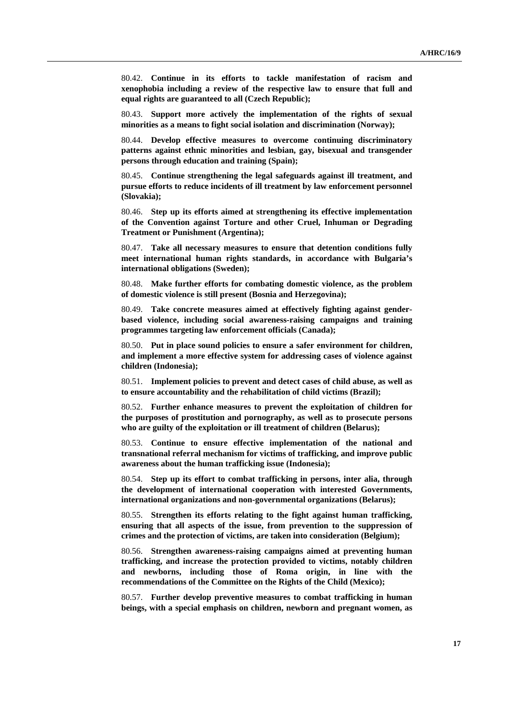80.42. **Continue in its efforts to tackle manifestation of racism and xenophobia including a review of the respective law to ensure that full and equal rights are guaranteed to all (Czech Republic);** 

80.43. **Support more actively the implementation of the rights of sexual minorities as a means to fight social isolation and discrimination (Norway);** 

80.44. **Develop effective measures to overcome continuing discriminatory patterns against ethnic minorities and lesbian, gay, bisexual and transgender persons through education and training (Spain);** 

80.45. **Continue strengthening the legal safeguards against ill treatment, and pursue efforts to reduce incidents of ill treatment by law enforcement personnel (Slovakia);** 

80.46. **Step up its efforts aimed at strengthening its effective implementation of the Convention against Torture and other Cruel, Inhuman or Degrading Treatment or Punishment (Argentina);** 

80.47. **Take all necessary measures to ensure that detention conditions fully meet international human rights standards, in accordance with Bulgaria's international obligations (Sweden);** 

80.48. **Make further efforts for combating domestic violence, as the problem of domestic violence is still present (Bosnia and Herzegovina);** 

80.49. **Take concrete measures aimed at effectively fighting against genderbased violence, including social awareness-raising campaigns and training programmes targeting law enforcement officials (Canada);** 

80.50. **Put in place sound policies to ensure a safer environment for children, and implement a more effective system for addressing cases of violence against children (Indonesia);** 

80.51. **Implement policies to prevent and detect cases of child abuse, as well as to ensure accountability and the rehabilitation of child victims (Brazil);** 

80.52. **Further enhance measures to prevent the exploitation of children for the purposes of prostitution and pornography, as well as to prosecute persons who are guilty of the exploitation or ill treatment of children (Belarus);** 

80.53. **Continue to ensure effective implementation of the national and transnational referral mechanism for victims of trafficking, and improve public awareness about the human trafficking issue (Indonesia);** 

80.54. **Step up its effort to combat trafficking in persons, inter alia, through the development of international cooperation with interested Governments, international organizations and non-governmental organizations (Belarus);** 

80.55. **Strengthen its efforts relating to the fight against human trafficking, ensuring that all aspects of the issue, from prevention to the suppression of crimes and the protection of victims, are taken into consideration (Belgium);** 

80.56. **Strengthen awareness-raising campaigns aimed at preventing human trafficking, and increase the protection provided to victims, notably children and newborns, including those of Roma origin, in line with the recommendations of the Committee on the Rights of the Child (Mexico);** 

80.57. **Further develop preventive measures to combat trafficking in human beings, with a special emphasis on children, newborn and pregnant women, as**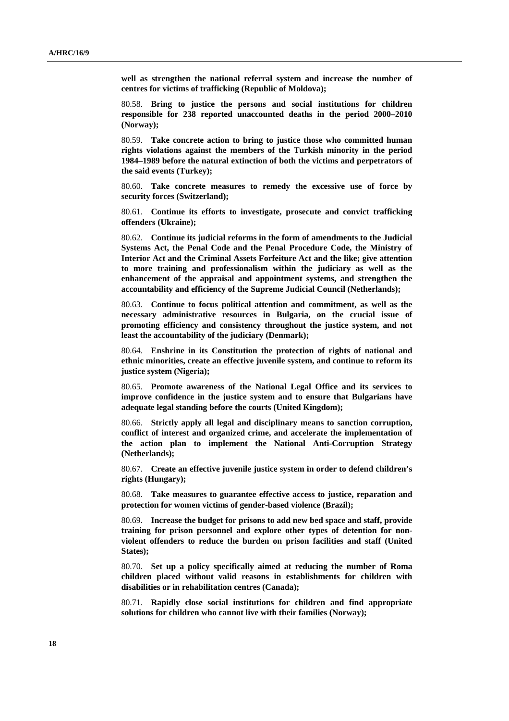**well as strengthen the national referral system and increase the number of centres for victims of trafficking (Republic of Moldova);** 

80.58. **Bring to justice the persons and social institutions for children responsible for 238 reported unaccounted deaths in the period 2000–2010 (Norway);** 

80.59. **Take concrete action to bring to justice those who committed human rights violations against the members of the Turkish minority in the period 1984–1989 before the natural extinction of both the victims and perpetrators of the said events (Turkey);** 

80.60. **Take concrete measures to remedy the excessive use of force by security forces (Switzerland);** 

80.61. **Continue its efforts to investigate, prosecute and convict trafficking offenders (Ukraine);** 

80.62. **Continue its judicial reforms in the form of amendments to the Judicial Systems Act, the Penal Code and the Penal Procedure Code, the Ministry of Interior Act and the Criminal Assets Forfeiture Act and the like; give attention to more training and professionalism within the judiciary as well as the enhancement of the appraisal and appointment systems, and strengthen the accountability and efficiency of the Supreme Judicial Council (Netherlands);** 

80.63. **Continue to focus political attention and commitment, as well as the necessary administrative resources in Bulgaria, on the crucial issue of promoting efficiency and consistency throughout the justice system, and not least the accountability of the judiciary (Denmark);** 

80.64. **Enshrine in its Constitution the protection of rights of national and ethnic minorities, create an effective juvenile system, and continue to reform its justice system (Nigeria);** 

80.65. **Promote awareness of the National Legal Office and its services to improve confidence in the justice system and to ensure that Bulgarians have adequate legal standing before the courts (United Kingdom);** 

80.66. **Strictly apply all legal and disciplinary means to sanction corruption, conflict of interest and organized crime, and accelerate the implementation of the action plan to implement the National Anti-Corruption Strategy (Netherlands);** 

80.67. **Create an effective juvenile justice system in order to defend children's rights (Hungary);** 

80.68. **Take measures to guarantee effective access to justice, reparation and protection for women victims of gender-based violence (Brazil);** 

80.69. **Increase the budget for prisons to add new bed space and staff, provide training for prison personnel and explore other types of detention for nonviolent offenders to reduce the burden on prison facilities and staff (United States);** 

80.70. **Set up a policy specifically aimed at reducing the number of Roma children placed without valid reasons in establishments for children with disabilities or in rehabilitation centres (Canada);** 

80.71. **Rapidly close social institutions for children and find appropriate solutions for children who cannot live with their families (Norway);**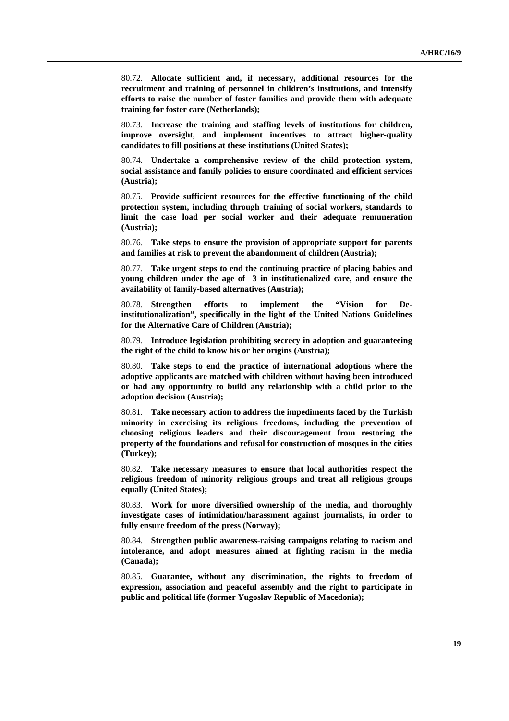80.72. **Allocate sufficient and, if necessary, additional resources for the recruitment and training of personnel in children's institutions, and intensify efforts to raise the number of foster families and provide them with adequate training for foster care (Netherlands);** 

80.73. **Increase the training and staffing levels of institutions for children, improve oversight, and implement incentives to attract higher-quality candidates to fill positions at these institutions (United States);** 

80.74. **Undertake a comprehensive review of the child protection system, social assistance and family policies to ensure coordinated and efficient services (Austria);** 

80.75. **Provide sufficient resources for the effective functioning of the child protection system, including through training of social workers, standards to limit the case load per social worker and their adequate remuneration (Austria);** 

80.76. **Take steps to ensure the provision of appropriate support for parents and families at risk to prevent the abandonment of children (Austria);** 

80.77. **Take urgent steps to end the continuing practice of placing babies and young children under the age of 3 in institutionalized care, and ensure the availability of family-based alternatives (Austria);** 

80.78. **Strengthen efforts to implement the "Vision for Deinstitutionalization", specifically in the light of the United Nations Guidelines for the Alternative Care of Children (Austria);** 

80.79. **Introduce legislation prohibiting secrecy in adoption and guaranteeing the right of the child to know his or her origins (Austria);** 

80.80. **Take steps to end the practice of international adoptions where the adoptive applicants are matched with children without having been introduced or had any opportunity to build any relationship with a child prior to the adoption decision (Austria);** 

80.81. **Take necessary action to address the impediments faced by the Turkish minority in exercising its religious freedoms, including the prevention of choosing religious leaders and their discouragement from restoring the property of the foundations and refusal for construction of mosques in the cities (Turkey);** 

80.82. **Take necessary measures to ensure that local authorities respect the religious freedom of minority religious groups and treat all religious groups equally (United States);** 

80.83. **Work for more diversified ownership of the media, and thoroughly investigate cases of intimidation/harassment against journalists, in order to fully ensure freedom of the press (Norway);** 

80.84. **Strengthen public awareness-raising campaigns relating to racism and intolerance, and adopt measures aimed at fighting racism in the media (Canada);** 

80.85. **Guarantee, without any discrimination, the rights to freedom of expression, association and peaceful assembly and the right to participate in public and political life (former Yugoslav Republic of Macedonia);**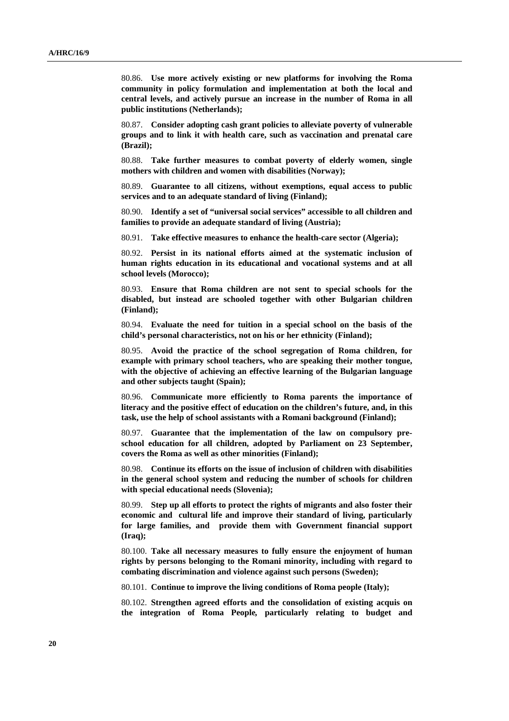80.86. **Use more actively existing or new platforms for involving the Roma community in policy formulation and implementation at both the local and central levels, and actively pursue an increase in the number of Roma in all public institutions (Netherlands);** 

80.87. **Consider adopting cash grant policies to alleviate poverty of vulnerable groups and to link it with health care, such as vaccination and prenatal care (Brazil);** 

80.88. **Take further measures to combat poverty of elderly women, single mothers with children and women with disabilities (Norway);** 

80.89. **Guarantee to all citizens, without exemptions, equal access to public services and to an adequate standard of living (Finland);** 

80.90. **Identify a set of "universal social services" accessible to all children and families to provide an adequate standard of living (Austria);** 

80.91. **Take effective measures to enhance the health-care sector (Algeria);** 

80.92. **Persist in its national efforts aimed at the systematic inclusion of human rights education in its educational and vocational systems and at all school levels (Morocco);** 

80.93. **Ensure that Roma children are not sent to special schools for the disabled, but instead are schooled together with other Bulgarian children (Finland);** 

80.94. **Evaluate the need for tuition in a special school on the basis of the child's personal characteristics, not on his or her ethnicity (Finland);** 

80.95. **Avoid the practice of the school segregation of Roma children, for example with primary school teachers, who are speaking their mother tongue, with the objective of achieving an effective learning of the Bulgarian language and other subjects taught (Spain);** 

80.96. **Communicate more efficiently to Roma parents the importance of literacy and the positive effect of education on the children's future, and, in this task, use the help of school assistants with a Romani background (Finland);** 

80.97. **Guarantee that the implementation of the law on compulsory preschool education for all children, adopted by Parliament on 23 September, covers the Roma as well as other minorities (Finland);** 

80.98. **Continue its efforts on the issue of inclusion of children with disabilities in the general school system and reducing the number of schools for children with special educational needs (Slovenia);** 

80.99. **Step up all efforts to protect the rights of migrants and also foster their economic and cultural life and improve their standard of living, particularly for large families, and provide them with Government financial support (Iraq);** 

80.100. **Take all necessary measures to fully ensure the enjoyment of human rights by persons belonging to the Romani minority, including with regard to combating discrimination and violence against such persons (Sweden);** 

80.101. **Continue to improve the living conditions of Roma people (Italy);** 

80.102. **Strengthen agreed efforts and the consolidation of existing acquis on the integration of Roma People***,* **particularly relating to budget and**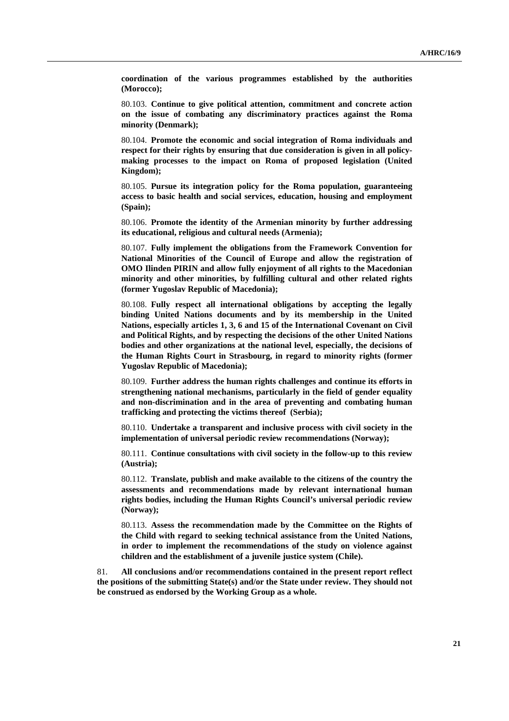**coordination of the various programmes established by the authorities (Morocco);** 

80.103. **Continue to give political attention, commitment and concrete action on the issue of combating any discriminatory practices against the Roma minority (Denmark);** 

80.104. **Promote the economic and social integration of Roma individuals and respect for their rights by ensuring that due consideration is given in all policymaking processes to the impact on Roma of proposed legislation (United Kingdom);** 

80.105. **Pursue its integration policy for the Roma population, guaranteeing access to basic health and social services, education, housing and employment (Spain);** 

80.106. **Promote the identity of the Armenian minority by further addressing its educational, religious and cultural needs (Armenia);** 

80.107. **Fully implement the obligations from the Framework Convention for National Minorities of the Council of Europe and allow the registration of OMO Ilinden PIRIN and allow fully enjoyment of all rights to the Macedonian minority and other minorities, by fulfilling cultural and other related rights (former Yugoslav Republic of Macedonia);** 

80.108. **Fully respect all international obligations by accepting the legally binding United Nations documents and by its membership in the United Nations, especially articles 1, 3, 6 and 15 of the International Covenant on Civil and Political Rights, and by respecting the decisions of the other United Nations bodies and other organizations at the national level, especially, the decisions of the Human Rights Court in Strasbourg, in regard to minority rights (former Yugoslav Republic of Macedonia);** 

80.109. **Further address the human rights challenges and continue its efforts in strengthening national mechanisms, particularly in the field of gender equality and non-discrimination and in the area of preventing and combating human trafficking and protecting the victims thereof (Serbia);** 

80.110. **Undertake a transparent and inclusive process with civil society in the implementation of universal periodic review recommendations (Norway);** 

80.111. **Continue consultations with civil society in the follow-up to this review (Austria);** 

80.112. **Translate, publish and make available to the citizens of the country the assessments and recommendations made by relevant international human rights bodies, including the Human Rights Council's universal periodic review (Norway);** 

80.113. **Assess the recommendation made by the Committee on the Rights of the Child with regard to seeking technical assistance from the United Nations, in order to implement the recommendations of the study on violence against children and the establishment of a juvenile justice system (Chile).**

81. **All conclusions and/or recommendations contained in the present report reflect the positions of the submitting State(s) and/or the State under review. They should not be construed as endorsed by the Working Group as a whole.**